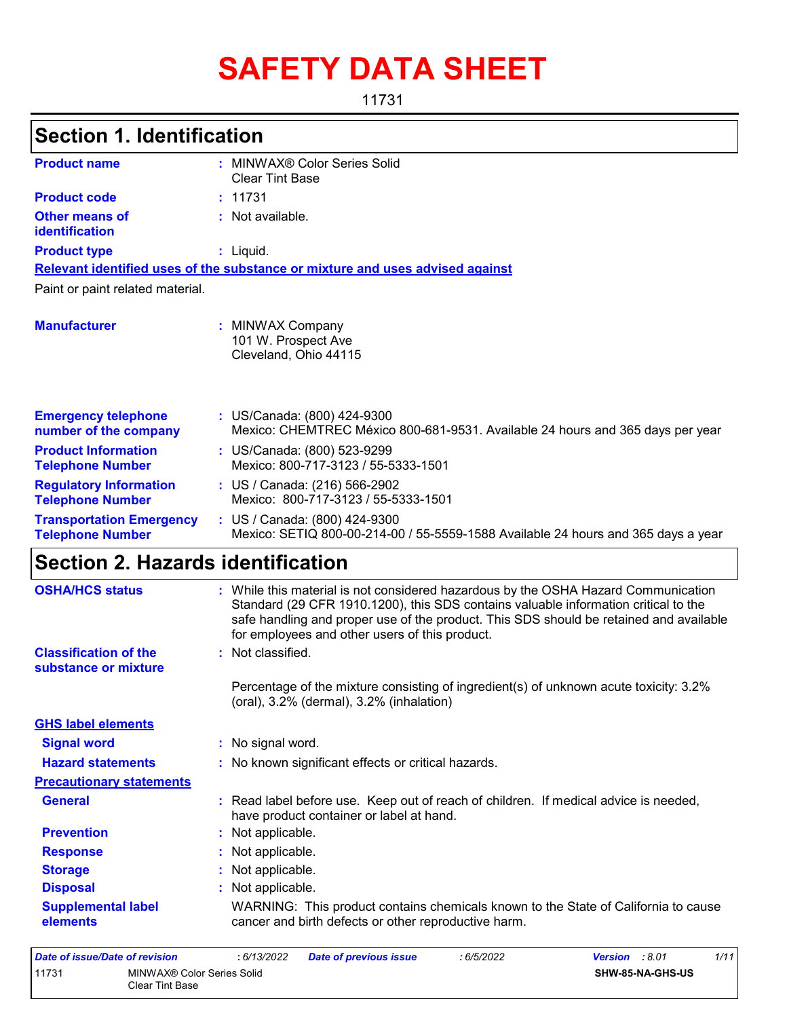# **SAFETY DATA SHEET**

11731

| <b>Section 1. Identification</b>                           |                                                                                                                                                                                                                                                                                                                       |
|------------------------------------------------------------|-----------------------------------------------------------------------------------------------------------------------------------------------------------------------------------------------------------------------------------------------------------------------------------------------------------------------|
| <b>Product name</b>                                        | : MINWAX® Color Series Solid<br><b>Clear Tint Base</b>                                                                                                                                                                                                                                                                |
| <b>Product code</b>                                        | : 11731                                                                                                                                                                                                                                                                                                               |
| <b>Other means of</b><br>identification                    | : Not available.                                                                                                                                                                                                                                                                                                      |
| <b>Product type</b>                                        | $:$ Liquid.                                                                                                                                                                                                                                                                                                           |
|                                                            | Relevant identified uses of the substance or mixture and uses advised against                                                                                                                                                                                                                                         |
| Paint or paint related material.                           |                                                                                                                                                                                                                                                                                                                       |
| <b>Manufacturer</b>                                        | : MINWAX Company<br>101 W. Prospect Ave<br>Cleveland, Ohio 44115                                                                                                                                                                                                                                                      |
| <b>Emergency telephone</b><br>number of the company        | : US/Canada: (800) 424-9300<br>Mexico: CHEMTREC México 800-681-9531. Available 24 hours and 365 days per year                                                                                                                                                                                                         |
| <b>Product Information</b><br><b>Telephone Number</b>      | : US/Canada: (800) 523-9299<br>Mexico: 800-717-3123 / 55-5333-1501                                                                                                                                                                                                                                                    |
| <b>Regulatory Information</b><br><b>Telephone Number</b>   | : US / Canada: (216) 566-2902<br>Mexico: 800-717-3123 / 55-5333-1501                                                                                                                                                                                                                                                  |
| <b>Transportation Emergency</b><br><b>Telephone Number</b> | : US / Canada: (800) 424-9300<br>Mexico: SETIQ 800-00-214-00 / 55-5559-1588 Available 24 hours and 365 days a year                                                                                                                                                                                                    |
| <b>Section 2. Hazards identification</b>                   |                                                                                                                                                                                                                                                                                                                       |
| <b>OSHA/HCS status</b>                                     | : While this material is not considered hazardous by the OSHA Hazard Communication<br>Standard (29 CFR 1910.1200), this SDS contains valuable information critical to the<br>safe handling and proper use of the product. This SDS should be retained and available<br>for employees and other users of this product. |
| <b>Classification of the</b><br>substance or mixture       | : Not classified.                                                                                                                                                                                                                                                                                                     |
|                                                            | Percentage of the mixture consisting of ingredient(s) of unknown acute toxicity: 3.2%<br>(oral), 3.2% (dermal), 3.2% (inhalation)                                                                                                                                                                                     |
| <b>GHS label elements</b>                                  |                                                                                                                                                                                                                                                                                                                       |
| <b>Signal word</b>                                         | : No signal word.                                                                                                                                                                                                                                                                                                     |
| <b>Hazard statements</b>                                   | : No known significant effects or critical hazards.                                                                                                                                                                                                                                                                   |
| <b>Precautionary statements</b>                            |                                                                                                                                                                                                                                                                                                                       |
| <b>General</b>                                             | : Read label before use. Keep out of reach of children. If medical advice is needed,<br>have product container or label at hand.                                                                                                                                                                                      |
| <b>Prevention</b>                                          | : Not applicable.                                                                                                                                                                                                                                                                                                     |
| <b>Response</b>                                            | : Not applicable.                                                                                                                                                                                                                                                                                                     |
| <b>Storage</b>                                             | : Not applicable.                                                                                                                                                                                                                                                                                                     |
| <b>Disposal</b>                                            | : Not applicable.                                                                                                                                                                                                                                                                                                     |
| <b>Supplemental label</b>                                  | WARNING: This product contains chemicals known to the State of California to cause                                                                                                                                                                                                                                    |

| Date of issue/Date of revision |                                               | : 6/13/2022 | <b>Date of previous issue</b> | : 6/5/2022 | <b>Version</b> : 8.01 |                         | 1/11 |
|--------------------------------|-----------------------------------------------|-------------|-------------------------------|------------|-----------------------|-------------------------|------|
| 11731                          | MINWAX® Color Series Solid<br>Clear Tint Base |             |                               |            |                       | <b>SHW-85-NA-GHS-US</b> |      |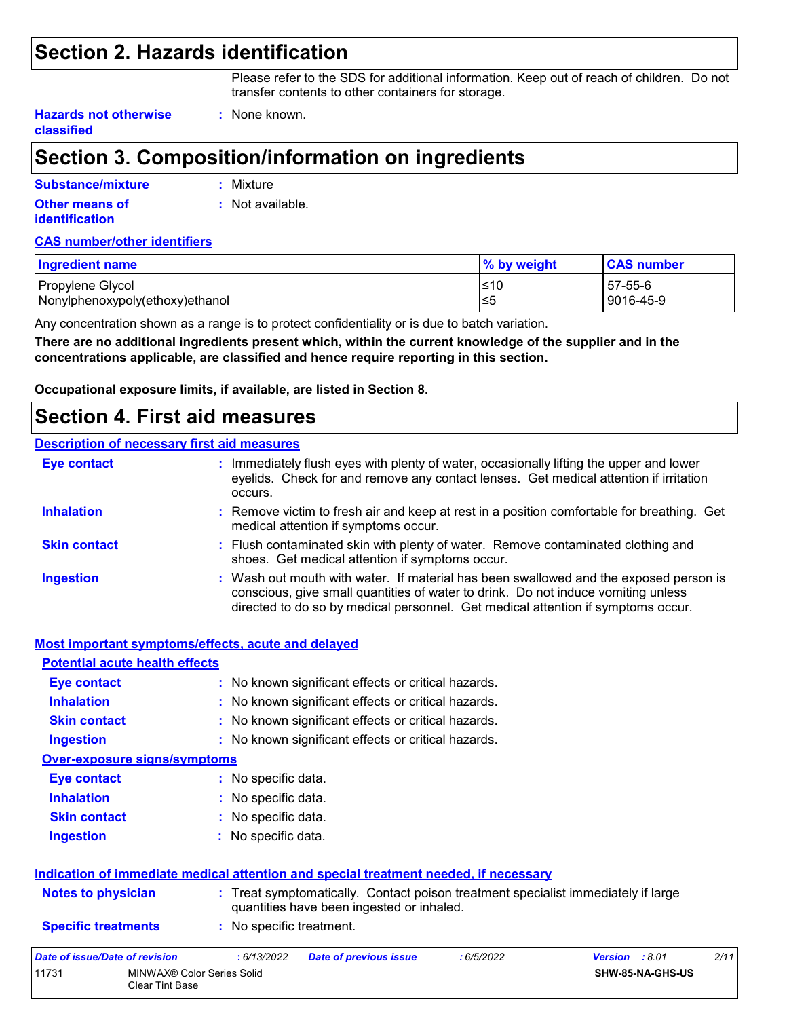### **Section 2. Hazards identification**

Please refer to the SDS for additional information. Keep out of reach of children. Do not transfer contents to other containers for storage.

**Hazards not otherwise classified**

# **Section 3. Composition/information on ingredients**

**:** None known.

| Substance/mixture                       | : Mixture        |
|-----------------------------------------|------------------|
| Other means of<br><b>identification</b> | : Not available. |

### **CAS number/other identifiers**

| <b>Ingredient name</b>          | $\%$ by weight | <b>CAS number</b> |
|---------------------------------|----------------|-------------------|
| Propylene Glycol                | ≤10            | 57-55-6           |
| Nonylphenoxypoly(ethoxy)ethanol | ≤5             | 9016-45-9         |

Any concentration shown as a range is to protect confidentiality or is due to batch variation.

**There are no additional ingredients present which, within the current knowledge of the supplier and in the concentrations applicable, are classified and hence require reporting in this section.**

**Occupational exposure limits, if available, are listed in Section 8.**

### **Section 4. First aid measures**

#### **Description of necessary first aid measures**

| <b>Eye contact</b>  | : Immediately flush eyes with plenty of water, occasionally lifting the upper and lower<br>eyelids. Check for and remove any contact lenses. Get medical attention if irritation<br>occurs.                                                                    |
|---------------------|----------------------------------------------------------------------------------------------------------------------------------------------------------------------------------------------------------------------------------------------------------------|
| <b>Inhalation</b>   | : Remove victim to fresh air and keep at rest in a position comfortable for breathing. Get<br>medical attention if symptoms occur.                                                                                                                             |
| <b>Skin contact</b> | : Flush contaminated skin with plenty of water. Remove contaminated clothing and<br>shoes. Get medical attention if symptoms occur.                                                                                                                            |
| <b>Ingestion</b>    | : Wash out mouth with water. If material has been swallowed and the exposed person is<br>conscious, give small quantities of water to drink. Do not induce vomiting unless<br>directed to do so by medical personnel. Get medical attention if symptoms occur. |

| <b>Most important symptoms/effects, acute and delayed</b>     |                                                                                                                                |  |  |  |  |  |
|---------------------------------------------------------------|--------------------------------------------------------------------------------------------------------------------------------|--|--|--|--|--|
| <b>Potential acute health effects</b>                         |                                                                                                                                |  |  |  |  |  |
| <b>Eye contact</b>                                            | : No known significant effects or critical hazards.                                                                            |  |  |  |  |  |
| <b>Inhalation</b>                                             | : No known significant effects or critical hazards.                                                                            |  |  |  |  |  |
| <b>Skin contact</b>                                           | : No known significant effects or critical hazards.                                                                            |  |  |  |  |  |
| <b>Ingestion</b>                                              | : No known significant effects or critical hazards.                                                                            |  |  |  |  |  |
| <b>Over-exposure signs/symptoms</b>                           |                                                                                                                                |  |  |  |  |  |
| Eye contact                                                   | : No specific data.                                                                                                            |  |  |  |  |  |
| <b>Inhalation</b>                                             | : No specific data.                                                                                                            |  |  |  |  |  |
| <b>Skin contact</b>                                           | : No specific data.                                                                                                            |  |  |  |  |  |
| <b>Ingestion</b>                                              | : No specific data.                                                                                                            |  |  |  |  |  |
|                                                               | Indication of immediate medical attention and special treatment needed, if necessary                                           |  |  |  |  |  |
| <b>Notes to physician</b>                                     | : Treat symptomatically. Contact poison treatment specialist immediately if large<br>quantities have been ingested or inhaled. |  |  |  |  |  |
| <b>Specific treatments</b>                                    | : No specific treatment.                                                                                                       |  |  |  |  |  |
| <b>Date of issue/Date of revision</b>                         | 2/11<br>: 6/13/2022<br><b>Date of previous issue</b><br>:6/5/2022<br>Version : 8.01                                            |  |  |  |  |  |
| 11731<br>MINWAX® Color Series Solid<br><b>Clear Tint Base</b> | SHW-85-NA-GHS-US                                                                                                               |  |  |  |  |  |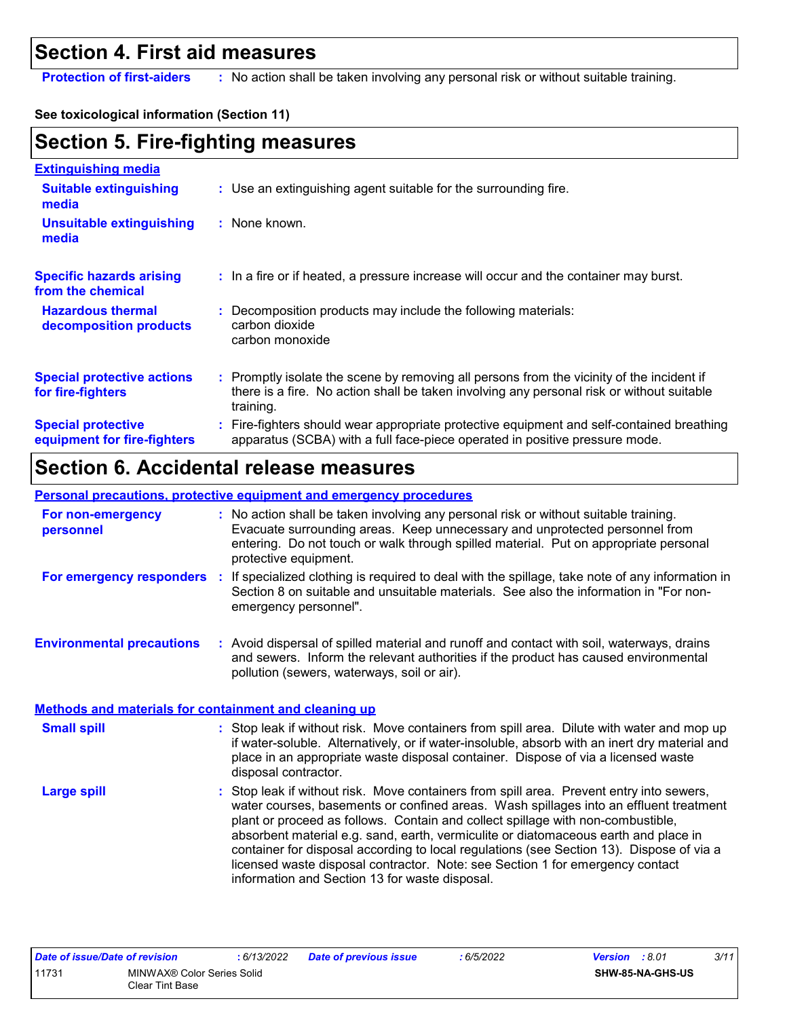### **Section 4. First aid measures**

**Protection of first-aiders** : No action shall be taken involving any personal risk or without suitable training.

### **See toxicological information (Section 11)**

# **Section 5. Fire-fighting measures**

| <b>Extinguishing media</b>                               |                                                                                                                                                                                                     |
|----------------------------------------------------------|-----------------------------------------------------------------------------------------------------------------------------------------------------------------------------------------------------|
| <b>Suitable extinguishing</b><br>media                   | : Use an extinguishing agent suitable for the surrounding fire.                                                                                                                                     |
| <b>Unsuitable extinguishing</b><br>media                 | $:$ None known.                                                                                                                                                                                     |
| <b>Specific hazards arising</b><br>from the chemical     | : In a fire or if heated, a pressure increase will occur and the container may burst.                                                                                                               |
| <b>Hazardous thermal</b><br>decomposition products       | : Decomposition products may include the following materials:<br>carbon dioxide<br>carbon monoxide                                                                                                  |
| <b>Special protective actions</b><br>for fire-fighters   | : Promptly isolate the scene by removing all persons from the vicinity of the incident if<br>there is a fire. No action shall be taken involving any personal risk or without suitable<br>training. |
| <b>Special protective</b><br>equipment for fire-fighters | : Fire-fighters should wear appropriate protective equipment and self-contained breathing<br>apparatus (SCBA) with a full face-piece operated in positive pressure mode.                            |

# **Section 6. Accidental release measures**

#### **Personal precautions, protective equipment and emergency procedures**

| For non-emergency<br>personnel                               | : No action shall be taken involving any personal risk or without suitable training.<br>Evacuate surrounding areas. Keep unnecessary and unprotected personnel from<br>entering. Do not touch or walk through spilled material. Put on appropriate personal<br>protective equipment.                     |
|--------------------------------------------------------------|----------------------------------------------------------------------------------------------------------------------------------------------------------------------------------------------------------------------------------------------------------------------------------------------------------|
| For emergency responders                                     | : If specialized clothing is required to deal with the spillage, take note of any information in<br>Section 8 on suitable and unsuitable materials. See also the information in "For non-<br>emergency personnel".                                                                                       |
| <b>Environmental precautions</b>                             | : Avoid dispersal of spilled material and runoff and contact with soil, waterways, drains<br>and sewers. Inform the relevant authorities if the product has caused environmental<br>pollution (sewers, waterways, soil or air).                                                                          |
| <b>Methods and materials for containment and cleaning up</b> |                                                                                                                                                                                                                                                                                                          |
| <b>Small spill</b>                                           | : Stop leak if without risk. Move containers from spill area. Dilute with water and mop up<br>if water-soluble. Alternatively, or if water-insoluble, absorb with an inert dry material and<br>place in an appropriate waste disposal container. Dispose of via a licensed waste<br>disposal contractor. |
| Lorge enill                                                  | • Stop look if without rick Move containers from spill area. Provent ontax into sowers                                                                                                                                                                                                                   |

Stop leak if without risk. Move containers from spill area. Prevent entry into sewers, water courses, basements or confined areas. Wash spillages into an effluent treatment plant or proceed as follows. Contain and collect spillage with non-combustible, absorbent material e.g. sand, earth, vermiculite or diatomaceous earth and place in container for disposal according to local regulations (see Section 13). Dispose of via a licensed waste disposal contractor. Note: see Section 1 for emergency contact information and Section 13 for waste disposal. **Large spill :**

| Date of issue/Date of revision |                            | : 6/13/2022 | <b>Date of previous issue</b> | .6/5/2022 | <b>Version</b> : 8.01 |                  | 3/11 |
|--------------------------------|----------------------------|-------------|-------------------------------|-----------|-----------------------|------------------|------|
| 11731                          | MINWAX® Color Series Solid |             |                               |           |                       | SHW-85-NA-GHS-US |      |
|                                | Clear Tint Base            |             |                               |           |                       |                  |      |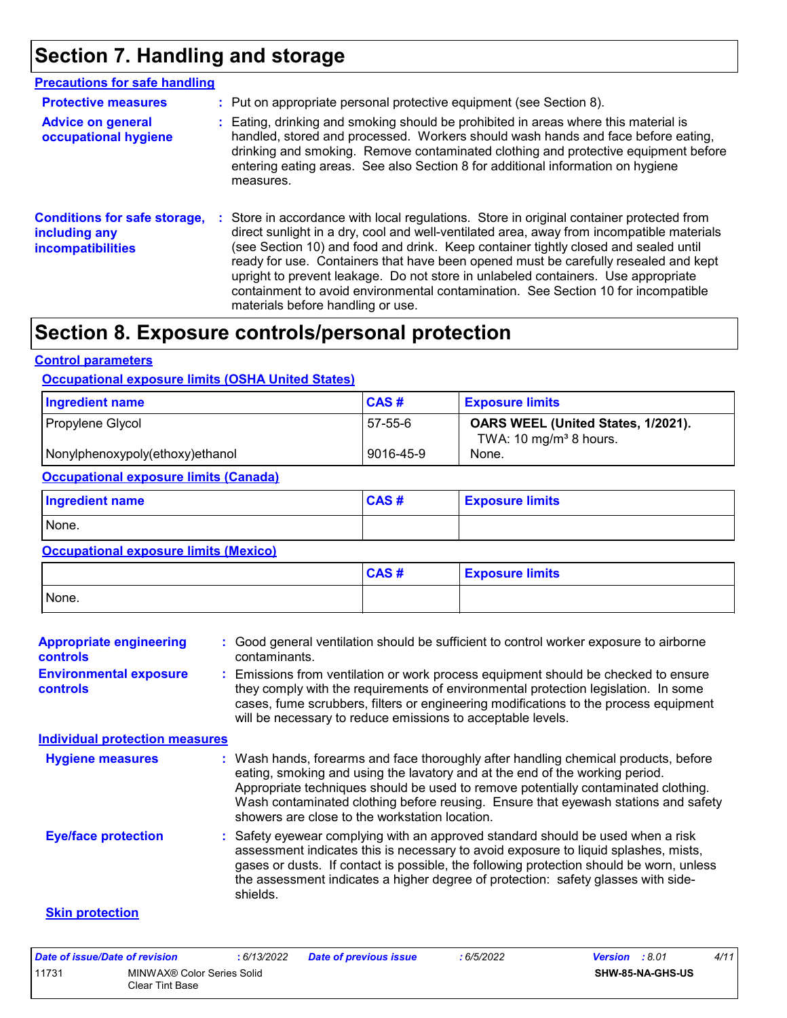# **Section 7. Handling and storage**

| <b>Precautions for safe handling</b>                                             |                                                                                                                                                                                                                                                                                                                                                                                                                                                                                                                                                                                  |
|----------------------------------------------------------------------------------|----------------------------------------------------------------------------------------------------------------------------------------------------------------------------------------------------------------------------------------------------------------------------------------------------------------------------------------------------------------------------------------------------------------------------------------------------------------------------------------------------------------------------------------------------------------------------------|
| <b>Protective measures</b>                                                       | : Put on appropriate personal protective equipment (see Section 8).                                                                                                                                                                                                                                                                                                                                                                                                                                                                                                              |
| <b>Advice on general</b><br>occupational hygiene                                 | Eating, drinking and smoking should be prohibited in areas where this material is<br>handled, stored and processed. Workers should wash hands and face before eating,<br>drinking and smoking. Remove contaminated clothing and protective equipment before<br>entering eating areas. See also Section 8 for additional information on hygiene<br>measures.                                                                                                                                                                                                                      |
| <b>Conditions for safe storage,</b><br>including any<br><b>incompatibilities</b> | Store in accordance with local regulations. Store in original container protected from<br>direct sunlight in a dry, cool and well-ventilated area, away from incompatible materials<br>(see Section 10) and food and drink. Keep container tightly closed and sealed until<br>ready for use. Containers that have been opened must be carefully resealed and kept<br>upright to prevent leakage. Do not store in unlabeled containers. Use appropriate<br>containment to avoid environmental contamination. See Section 10 for incompatible<br>materials before handling or use. |

### **Section 8. Exposure controls/personal protection**

#### **Control parameters**

#### **Occupational exposure limits (OSHA United States)**

| <b>Ingredient name</b>          | CAS#      | <b>Exposure limits</b>                                                   |
|---------------------------------|-----------|--------------------------------------------------------------------------|
| Propylene Glycol                | 57-55-6   | OARS WEEL (United States, 1/2021).<br>TWA: 10 mg/m <sup>3</sup> 8 hours. |
| Nonylphenoxypoly(ethoxy)ethanol | 9016-45-9 | None.                                                                    |

#### **Occupational exposure limits (Canada)**

| <b>Ingredient name</b> | <b>CAS#</b> | <b>Exposure limits</b> |
|------------------------|-------------|------------------------|
| None.                  |             |                        |

### **Occupational exposure limits (Mexico)**

|       | CAS# | <b>Exposure limits</b> |
|-------|------|------------------------|
| None. |      |                        |

| <b>Appropriate engineering</b><br><b>controls</b> | : Good general ventilation should be sufficient to control worker exposure to airborne<br>contaminants.                                                                                                                                                                                                                                                                                           |
|---------------------------------------------------|---------------------------------------------------------------------------------------------------------------------------------------------------------------------------------------------------------------------------------------------------------------------------------------------------------------------------------------------------------------------------------------------------|
| <b>Environmental exposure</b><br><b>controls</b>  | : Emissions from ventilation or work process equipment should be checked to ensure<br>they comply with the requirements of environmental protection legislation. In some<br>cases, fume scrubbers, filters or engineering modifications to the process equipment<br>will be necessary to reduce emissions to acceptable levels.                                                                   |
| <b>Individual protection measures</b>             |                                                                                                                                                                                                                                                                                                                                                                                                   |
| <b>Hygiene measures</b>                           | : Wash hands, forearms and face thoroughly after handling chemical products, before<br>eating, smoking and using the lavatory and at the end of the working period.<br>Appropriate techniques should be used to remove potentially contaminated clothing.<br>Wash contaminated clothing before reusing. Ensure that eyewash stations and safety<br>showers are close to the workstation location. |
| <b>Eye/face protection</b>                        | : Safety eyewear complying with an approved standard should be used when a risk<br>assessment indicates this is necessary to avoid exposure to liquid splashes, mists,<br>gases or dusts. If contact is possible, the following protection should be worn, unless<br>the assessment indicates a higher degree of protection: safety glasses with side-<br>shields.                                |
| <b>Skin protection</b>                            |                                                                                                                                                                                                                                                                                                                                                                                                   |

#### *Date of issue/Date of revision* **:** *6/13/2022 Date of previous issue : 6/5/2022 Version : 8.01 4/11* 11731 MINWAX® Color Series Solid Clear Tint Base **SHW-85-NA-GHS-US**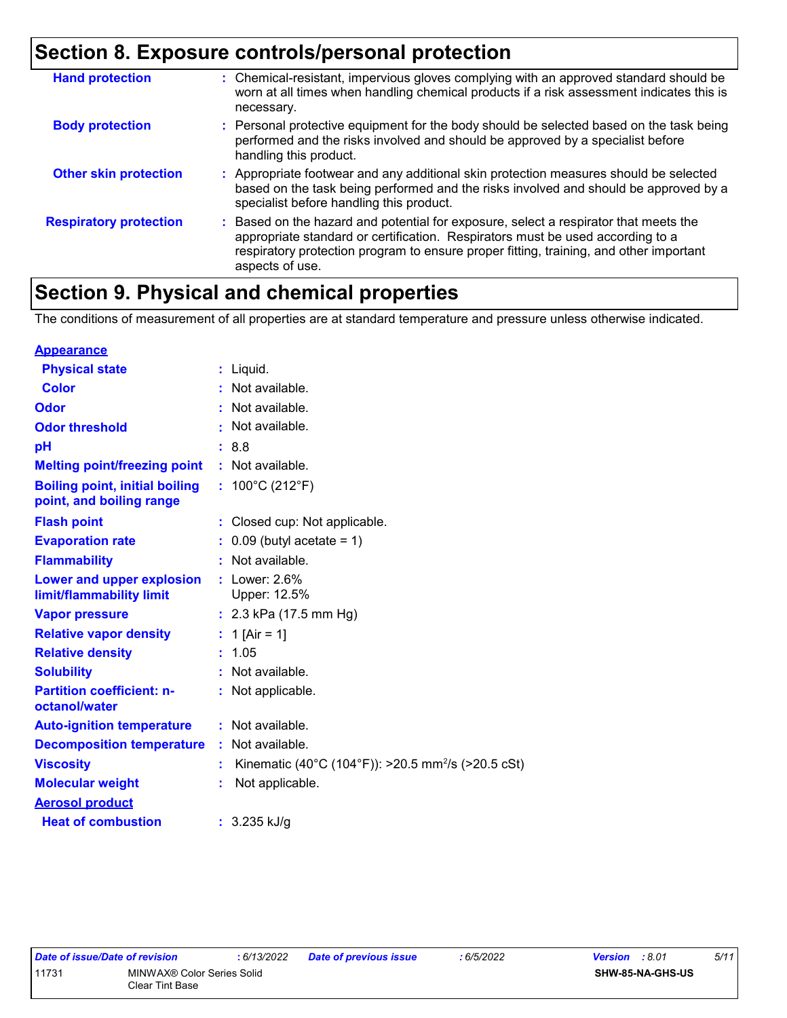# **Section 8. Exposure controls/personal protection**

| <b>Hand protection</b>        | : Chemical-resistant, impervious gloves complying with an approved standard should be<br>worn at all times when handling chemical products if a risk assessment indicates this is<br>necessary.                                                                                     |
|-------------------------------|-------------------------------------------------------------------------------------------------------------------------------------------------------------------------------------------------------------------------------------------------------------------------------------|
| <b>Body protection</b>        | : Personal protective equipment for the body should be selected based on the task being<br>performed and the risks involved and should be approved by a specialist before<br>handling this product.                                                                                 |
| <b>Other skin protection</b>  | : Appropriate footwear and any additional skin protection measures should be selected<br>based on the task being performed and the risks involved and should be approved by a<br>specialist before handling this product.                                                           |
| <b>Respiratory protection</b> | : Based on the hazard and potential for exposure, select a respirator that meets the<br>appropriate standard or certification. Respirators must be used according to a<br>respiratory protection program to ensure proper fitting, training, and other important<br>aspects of use. |

# **Section 9. Physical and chemical properties**

The conditions of measurement of all properties are at standard temperature and pressure unless otherwise indicated.

| <b>Appearance</b>                                                 |                                                                |
|-------------------------------------------------------------------|----------------------------------------------------------------|
| <b>Physical state</b>                                             | $:$ Liquid.                                                    |
| <b>Color</b>                                                      | : Not available.                                               |
| Odor                                                              | : Not available.                                               |
| <b>Odor threshold</b>                                             | : Not available.                                               |
| рH                                                                | :8.8                                                           |
| <b>Melting point/freezing point</b>                               | : Not available.                                               |
| <b>Boiling point, initial boiling</b><br>point, and boiling range | : $100^{\circ}$ C (212 $^{\circ}$ F)                           |
| <b>Flash point</b>                                                | : Closed cup: Not applicable.                                  |
| <b>Evaporation rate</b>                                           | $0.09$ (butyl acetate = 1)                                     |
| <b>Flammability</b>                                               | : Not available.                                               |
| Lower and upper explosion<br>limit/flammability limit             | $:$ Lower: 2.6%<br>Upper: 12.5%                                |
| <b>Vapor pressure</b>                                             | : $2.3$ kPa (17.5 mm Hg)                                       |
| <b>Relative vapor density</b>                                     | : 1 [Air = 1]                                                  |
| <b>Relative density</b>                                           | : 1.05                                                         |
| <b>Solubility</b>                                                 | : Not available.                                               |
| <b>Partition coefficient: n-</b><br>octanol/water                 | : Not applicable.                                              |
| <b>Auto-ignition temperature</b>                                  | : Not available.                                               |
| <b>Decomposition temperature</b>                                  | : Not available.                                               |
| <b>Viscosity</b>                                                  | Kinematic (40°C (104°F)): >20.5 mm <sup>2</sup> /s (>20.5 cSt) |
| <b>Molecular weight</b>                                           | Not applicable.                                                |
| <b>Aerosol product</b>                                            |                                                                |
| <b>Heat of combustion</b>                                         | $: 3.235$ kJ/g                                                 |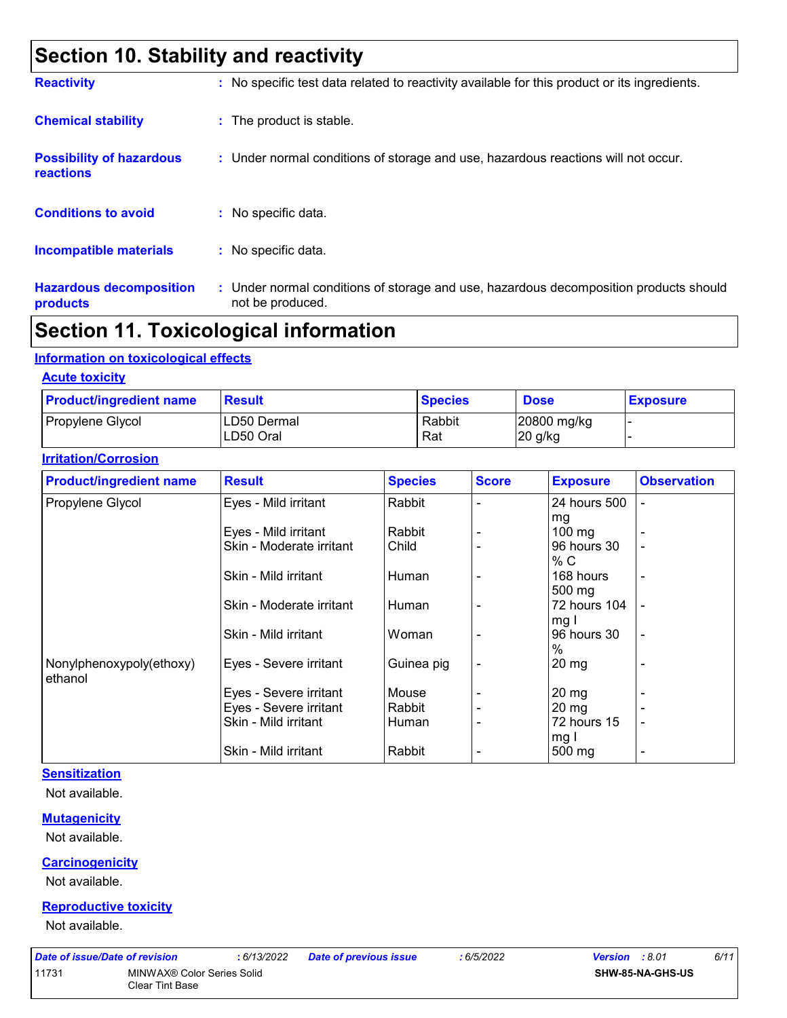# **Section 10. Stability and reactivity**

| <b>Reactivity</b>                            | : No specific test data related to reactivity available for this product or its ingredients.              |
|----------------------------------------------|-----------------------------------------------------------------------------------------------------------|
| <b>Chemical stability</b>                    | : The product is stable.                                                                                  |
| <b>Possibility of hazardous</b><br>reactions | : Under normal conditions of storage and use, hazardous reactions will not occur.                         |
| <b>Conditions to avoid</b>                   | : No specific data.                                                                                       |
| <b>Incompatible materials</b>                | : No specific data.                                                                                       |
| <b>Hazardous decomposition</b><br>products   | : Under normal conditions of storage and use, hazardous decomposition products should<br>not be produced. |

# **Section 11. Toxicological information**

#### **Information on toxicological effects**

**Acute toxicity**

| <b>Product/ingredient name</b> | <b>Result</b>             | <b>Species</b> | <b>Dose</b>            | <b>Exposure</b> |
|--------------------------------|---------------------------|----------------|------------------------|-----------------|
| Propylene Glycol               | ILD50 Dermal<br>LD50 Oral | Rabbit<br>Rat  | 20800 mg/kg<br>20 g/kg |                 |

#### **Irritation/Corrosion**

| <b>Product/ingredient name</b> | <b>Result</b>            | <b>Species</b> | <b>Score</b> | <b>Exposure</b>  | <b>Observation</b>       |
|--------------------------------|--------------------------|----------------|--------------|------------------|--------------------------|
| Propylene Glycol               | Eyes - Mild irritant     | Rabbit         |              | 24 hours 500     |                          |
|                                |                          |                |              | mg               |                          |
|                                | Eyes - Mild irritant     | Rabbit         |              | $100 \text{ mg}$ |                          |
|                                | Skin - Moderate irritant | Child          |              | 96 hours 30      |                          |
|                                |                          |                |              | % C              |                          |
|                                | Skin - Mild irritant     | Human          |              | 168 hours        | $\overline{a}$           |
|                                |                          |                |              | 500 mg           |                          |
|                                | Skin - Moderate irritant | Human          |              | 72 hours 104     |                          |
|                                |                          |                |              | mg I             |                          |
|                                | Skin - Mild irritant     | Woman          |              | 96 hours 30      | $\blacksquare$           |
|                                |                          |                |              | $\%$             |                          |
| Nonylphenoxypoly(ethoxy)       | Eyes - Severe irritant   | Guinea pig     |              | 20 mg            |                          |
| ethanol                        |                          |                |              |                  |                          |
|                                | Eyes - Severe irritant   | Mouse          |              | 20 mg            |                          |
|                                | Eyes - Severe irritant   | Rabbit         |              | $20 \, mg$       |                          |
|                                | Skin - Mild irritant     | Human          |              | 72 hours 15      | $\overline{\phantom{0}}$ |
|                                |                          |                |              | mg I             |                          |
|                                | Skin - Mild irritant     | Rabbit         |              | 500 mg           | $\overline{a}$           |

### **Sensitization**

Not available.

#### **Mutagenicity**

Not available.

#### **Carcinogenicity**

Not available.

#### **Reproductive toxicity**

Not available.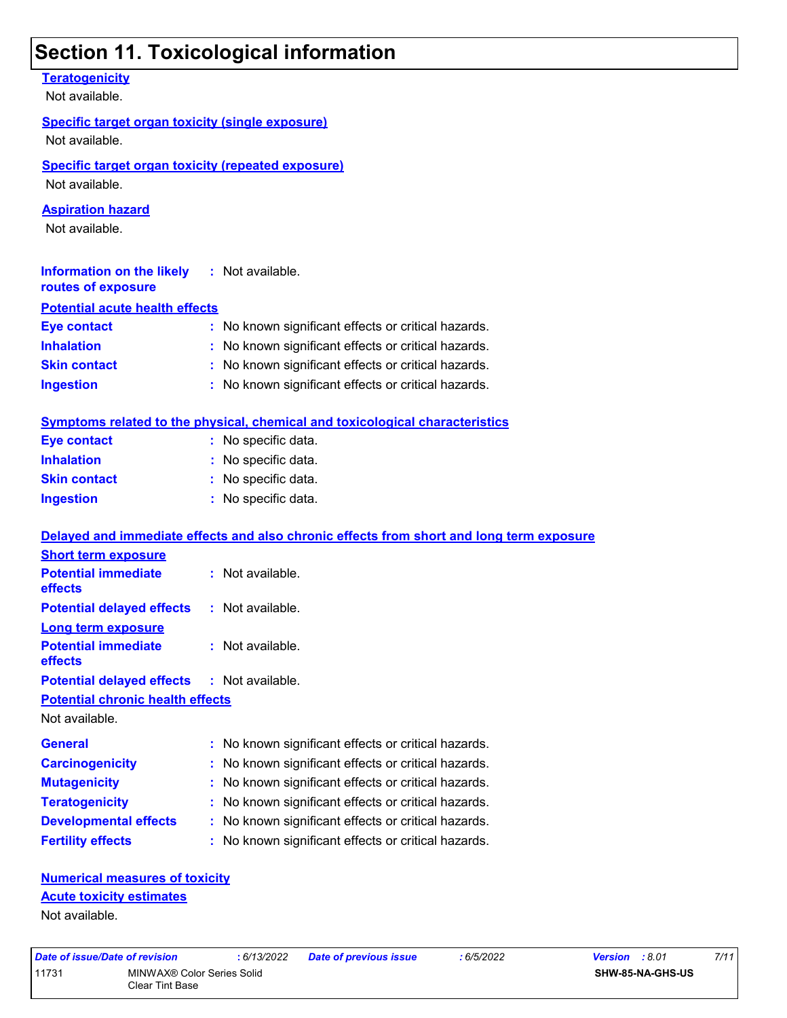# **Section 11. Toxicological information**

**Teratogenicity**

Not available.

### **Specific target organ toxicity (single exposure)**

Not available.

### **Specific target organ toxicity (repeated exposure)**

Not available.

### **Aspiration hazard**

Not available.

| Information on the likely<br>routes of exposure | : Not available.                                    |
|-------------------------------------------------|-----------------------------------------------------|
| <b>Potential acute health effects</b>           |                                                     |
| Eye contact                                     | : No known significant effects or critical hazards. |

| <b>Inhalation</b>   | : No known significant effects or critical hazards. |
|---------------------|-----------------------------------------------------|
| <b>Skin contact</b> | : No known significant effects or critical hazards. |
| <b>Ingestion</b>    | : No known significant effects or critical hazards. |

|                     | Symptoms related to the physical, chemical and toxicological characteristics |
|---------------------|------------------------------------------------------------------------------|
| Eye contact         | : No specific data.                                                          |
| <b>Inhalation</b>   | : No specific data.                                                          |
| <b>Skin contact</b> | : No specific data.                                                          |
| <b>Ingestion</b>    | : No specific data.                                                          |
|                     |                                                                              |

| Delayed and immediate effects and also chronic effects from short and long term exposure |
|------------------------------------------------------------------------------------------|
|                                                                                          |
| $:$ Not available.                                                                       |
| <b>Potential delayed effects</b><br>$:$ Not available.                                   |
|                                                                                          |
| $:$ Not available.                                                                       |
| <b>Potential delayed effects : Not available.</b>                                        |
| <b>Potential chronic health effects</b>                                                  |
|                                                                                          |
| : No known significant effects or critical hazards.                                      |
| : No known significant effects or critical hazards.                                      |
| : No known significant effects or critical hazards.                                      |
| : No known significant effects or critical hazards.                                      |
| : No known significant effects or critical hazards.                                      |
| : No known significant effects or critical hazards.                                      |
|                                                                                          |

### **Numerical measures of toxicity Acute toxicity estimates**

Not available.

11731 MINWAX® Color Series Solid Clear Tint Base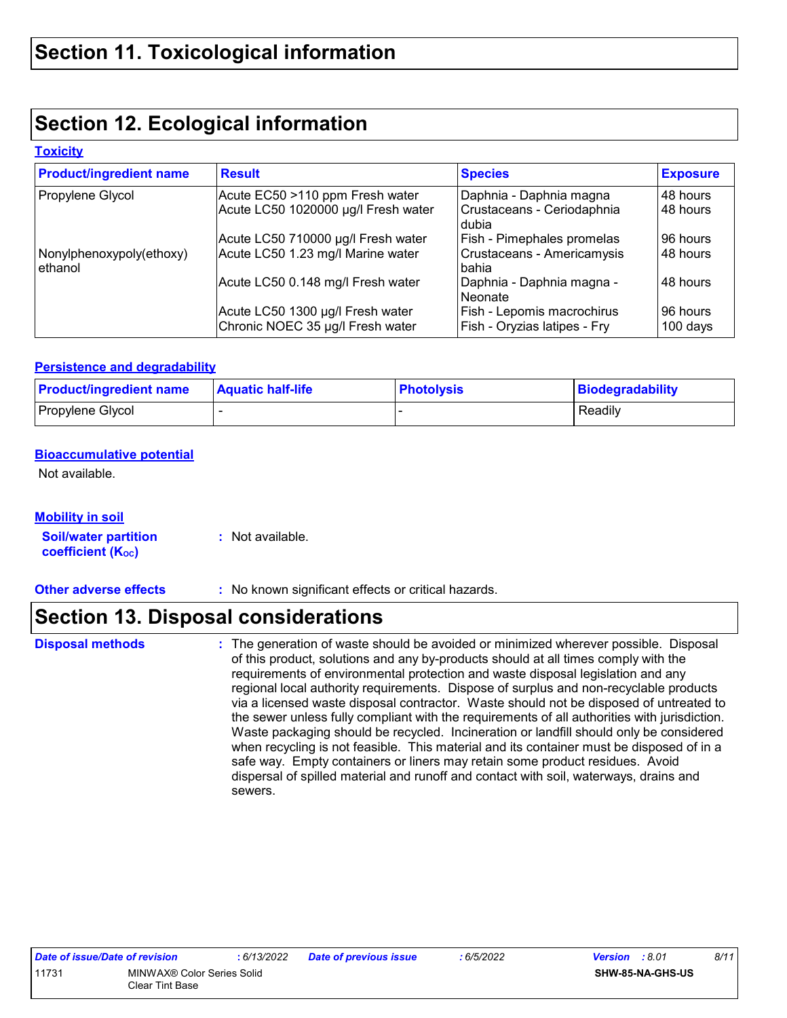# **Section 12. Ecological information**

#### **Toxicity**

| <b>Product/ingredient name</b>      | <b>Result</b>                                                          | <b>Species</b>                                                 | <b>Exposure</b>      |
|-------------------------------------|------------------------------------------------------------------------|----------------------------------------------------------------|----------------------|
| Propylene Glycol                    | Acute EC50 >110 ppm Fresh water<br>Acute LC50 1020000 µg/l Fresh water | Daphnia - Daphnia magna<br>Crustaceans - Ceriodaphnia<br>dubia | 48 hours<br>48 hours |
|                                     | Acute LC50 710000 µg/l Fresh water                                     | Fish - Pimephales promelas                                     | 96 hours             |
| Nonylphenoxypoly(ethoxy)<br>ethanol | Acute LC50 1.23 mg/l Marine water                                      | Crustaceans - Americamysis<br>bahia                            | 48 hours             |
|                                     | Acute LC50 0.148 mg/l Fresh water                                      | Daphnia - Daphnia magna -<br>Neonate                           | 48 hours             |
|                                     | Acute LC50 1300 µg/l Fresh water<br>Chronic NOEC 35 µg/l Fresh water   | Fish - Lepomis macrochirus<br>Fish - Oryzias latipes - Fry     | 96 hours<br>100 days |

#### **Persistence and degradability**

| <b>Product/ingredient name</b> | <b>Aquatic half-life</b> | <b>Photolysis</b> | <b>Biodegradability</b> |
|--------------------------------|--------------------------|-------------------|-------------------------|
| Propylene Glycol               |                          |                   | Readily                 |

### **Bioaccumulative potential**

Not available.

| <b>Mobility in soil</b>                                 |                  |
|---------------------------------------------------------|------------------|
| <b>Soil/water partition</b><br><b>coefficient (Koc)</b> | : Not available. |

**Other adverse effects :** No known significant effects or critical hazards.

### **Section 13. Disposal considerations**

**Disposal methods :**

The generation of waste should be avoided or minimized wherever possible. Disposal of this product, solutions and any by-products should at all times comply with the requirements of environmental protection and waste disposal legislation and any regional local authority requirements. Dispose of surplus and non-recyclable products via a licensed waste disposal contractor. Waste should not be disposed of untreated to the sewer unless fully compliant with the requirements of all authorities with jurisdiction. Waste packaging should be recycled. Incineration or landfill should only be considered when recycling is not feasible. This material and its container must be disposed of in a safe way. Empty containers or liners may retain some product residues. Avoid dispersal of spilled material and runoff and contact with soil, waterways, drains and sewers.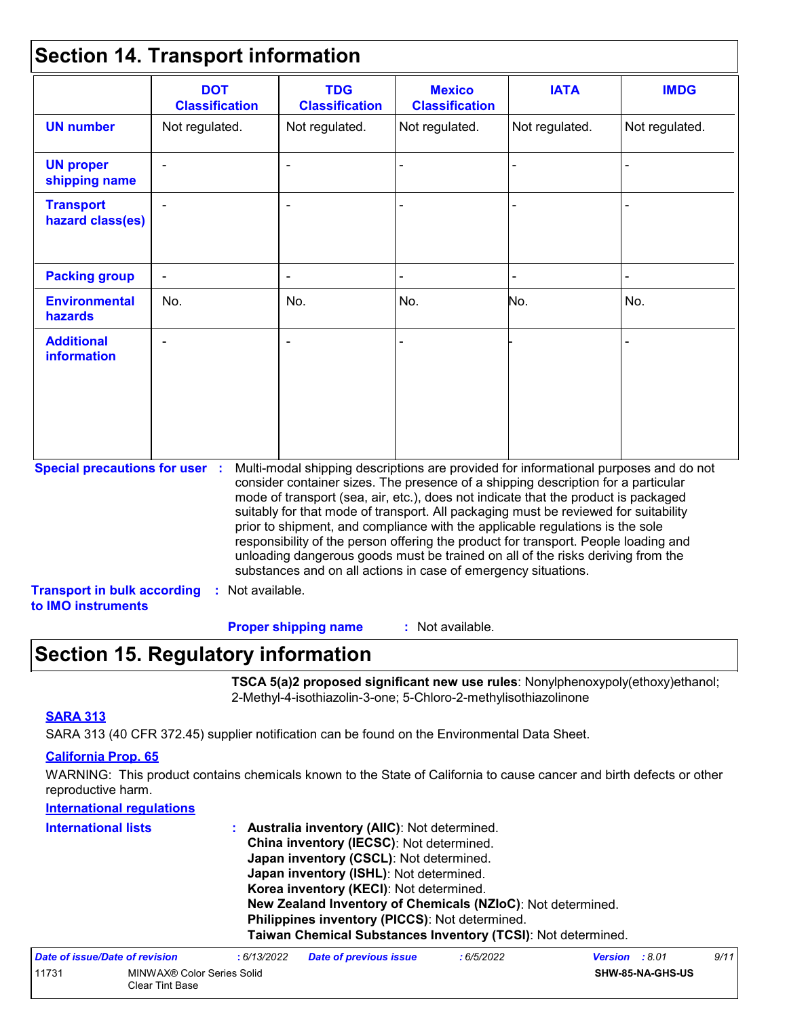### **Section 14. Transport information**

|                                                                             | <b>DOT</b><br><b>Classification</b> | <b>TDG</b><br><b>Classification</b>                                                                                                                                                                                                                                                                                                                                                                                                                                                                                                                                                                                                                                                 | <b>Mexico</b><br><b>Classification</b> | <b>IATA</b>    | <b>IMDG</b>    |
|-----------------------------------------------------------------------------|-------------------------------------|-------------------------------------------------------------------------------------------------------------------------------------------------------------------------------------------------------------------------------------------------------------------------------------------------------------------------------------------------------------------------------------------------------------------------------------------------------------------------------------------------------------------------------------------------------------------------------------------------------------------------------------------------------------------------------------|----------------------------------------|----------------|----------------|
| <b>UN number</b>                                                            | Not regulated.                      | Not regulated.                                                                                                                                                                                                                                                                                                                                                                                                                                                                                                                                                                                                                                                                      | Not regulated.                         | Not regulated. | Not regulated. |
| <b>UN proper</b><br>shipping name                                           |                                     |                                                                                                                                                                                                                                                                                                                                                                                                                                                                                                                                                                                                                                                                                     |                                        |                |                |
| <b>Transport</b><br>hazard class(es)                                        |                                     |                                                                                                                                                                                                                                                                                                                                                                                                                                                                                                                                                                                                                                                                                     |                                        |                |                |
| <b>Packing group</b>                                                        |                                     |                                                                                                                                                                                                                                                                                                                                                                                                                                                                                                                                                                                                                                                                                     |                                        |                |                |
| <b>Environmental</b><br>hazards                                             | No.                                 | No.                                                                                                                                                                                                                                                                                                                                                                                                                                                                                                                                                                                                                                                                                 | No.                                    | No.            | No.            |
| <b>Additional</b><br><b>information</b>                                     |                                     |                                                                                                                                                                                                                                                                                                                                                                                                                                                                                                                                                                                                                                                                                     |                                        |                |                |
| <b>Special precautions for user :</b><br><b>Transport in bulk according</b> | : Not available.                    | Multi-modal shipping descriptions are provided for informational purposes and do not<br>consider container sizes. The presence of a shipping description for a particular<br>mode of transport (sea, air, etc.), does not indicate that the product is packaged<br>suitably for that mode of transport. All packaging must be reviewed for suitability<br>prior to shipment, and compliance with the applicable regulations is the sole<br>responsibility of the person offering the product for transport. People loading and<br>unloading dangerous goods must be trained on all of the risks deriving from the<br>substances and on all actions in case of emergency situations. |                                        |                |                |
| to IMO instruments                                                          |                                     |                                                                                                                                                                                                                                                                                                                                                                                                                                                                                                                                                                                                                                                                                     |                                        |                |                |
|                                                                             |                                     | <b>Proper shipping name</b>                                                                                                                                                                                                                                                                                                                                                                                                                                                                                                                                                                                                                                                         | : Not available.                       |                |                |

# **Section 15. Regulatory information**

**TSCA 5(a)2 proposed significant new use rules**: Nonylphenoxypoly(ethoxy)ethanol; 2-Methyl-4-isothiazolin-3-one; 5-Chloro-2-methylisothiazolinone

### **SARA 313**

SARA 313 (40 CFR 372.45) supplier notification can be found on the Environmental Data Sheet.

### **California Prop. 65**

WARNING: This product contains chemicals known to the State of California to cause cancer and birth defects or other reproductive harm.

| <b>International regulations</b> |                                                              |
|----------------------------------|--------------------------------------------------------------|
| <b>International lists</b>       | Australia inventory (AIIC): Not determined.                  |
|                                  | China inventory (IECSC): Not determined.                     |
|                                  | Japan inventory (CSCL): Not determined.                      |
|                                  | Japan inventory (ISHL): Not determined.                      |
|                                  | Korea inventory (KECI): Not determined.                      |
|                                  | New Zealand Inventory of Chemicals (NZIoC): Not determined.  |
|                                  | Philippines inventory (PICCS): Not determined.               |
|                                  | Taiwan Chemical Substances Inventory (TCSI): Not determined. |
|                                  |                                                              |

| Date of issue/Date of revision |                                               | : 6/13/2022 | <b>Date of previous issue</b> | : 6/5/2022 | <b>Version</b> : 8.01 |                         | 9/11 |
|--------------------------------|-----------------------------------------------|-------------|-------------------------------|------------|-----------------------|-------------------------|------|
| 11731                          | MINWAX® Color Series Solid<br>Clear Tint Base |             |                               |            |                       | <b>SHW-85-NA-GHS-US</b> |      |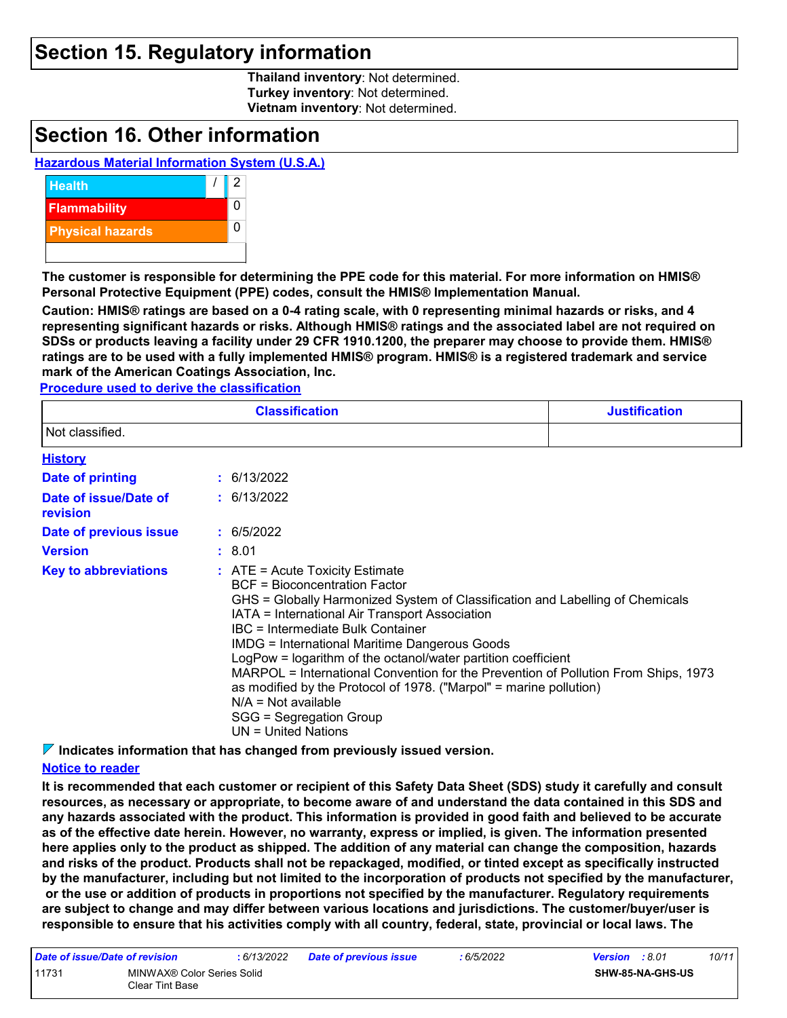### **Section 15. Regulatory information**

**Thailand inventory**: Not determined. **Turkey inventory**: Not determined. **Vietnam inventory**: Not determined.

### **Section 16. Other information**

### **Hazardous Material Information System (U.S.A.)**



**The customer is responsible for determining the PPE code for this material. For more information on HMIS® Personal Protective Equipment (PPE) codes, consult the HMIS® Implementation Manual.**

**Caution: HMIS® ratings are based on a 0-4 rating scale, with 0 representing minimal hazards or risks, and 4 representing significant hazards or risks. Although HMIS® ratings and the associated label are not required on SDSs or products leaving a facility under 29 CFR 1910.1200, the preparer may choose to provide them. HMIS® ratings are to be used with a fully implemented HMIS® program. HMIS® is a registered trademark and service mark of the American Coatings Association, Inc.**

**Procedure used to derive the classification**

|                                   | <b>Classification</b>                                                                                                                                                                                                                                                                                                                                                                                                                                                                                                                                                                                             | <b>Justification</b> |
|-----------------------------------|-------------------------------------------------------------------------------------------------------------------------------------------------------------------------------------------------------------------------------------------------------------------------------------------------------------------------------------------------------------------------------------------------------------------------------------------------------------------------------------------------------------------------------------------------------------------------------------------------------------------|----------------------|
| Not classified.                   |                                                                                                                                                                                                                                                                                                                                                                                                                                                                                                                                                                                                                   |                      |
| <b>History</b>                    |                                                                                                                                                                                                                                                                                                                                                                                                                                                                                                                                                                                                                   |                      |
| Date of printing                  | : 6/13/2022                                                                                                                                                                                                                                                                                                                                                                                                                                                                                                                                                                                                       |                      |
| Date of issue/Date of<br>revision | : 6/13/2022                                                                                                                                                                                                                                                                                                                                                                                                                                                                                                                                                                                                       |                      |
| Date of previous issue            | : 6/5/2022                                                                                                                                                                                                                                                                                                                                                                                                                                                                                                                                                                                                        |                      |
| <b>Version</b>                    | : 8.01                                                                                                                                                                                                                                                                                                                                                                                                                                                                                                                                                                                                            |                      |
| <b>Key to abbreviations</b>       | $:$ ATE = Acute Toxicity Estimate<br><b>BCF</b> = Bioconcentration Factor<br>GHS = Globally Harmonized System of Classification and Labelling of Chemicals<br>IATA = International Air Transport Association<br>IBC = Intermediate Bulk Container<br><b>IMDG = International Maritime Dangerous Goods</b><br>LogPow = logarithm of the octanol/water partition coefficient<br>MARPOL = International Convention for the Prevention of Pollution From Ships, 1973<br>as modified by the Protocol of 1978. ("Marpol" = marine pollution)<br>$N/A = Not available$<br>SGG = Segregation Group<br>UN = United Nations |                      |

**Indicates information that has changed from previously issued version.**

#### **Notice to reader**

**It is recommended that each customer or recipient of this Safety Data Sheet (SDS) study it carefully and consult resources, as necessary or appropriate, to become aware of and understand the data contained in this SDS and any hazards associated with the product. This information is provided in good faith and believed to be accurate as of the effective date herein. However, no warranty, express or implied, is given. The information presented here applies only to the product as shipped. The addition of any material can change the composition, hazards and risks of the product. Products shall not be repackaged, modified, or tinted except as specifically instructed by the manufacturer, including but not limited to the incorporation of products not specified by the manufacturer, or the use or addition of products in proportions not specified by the manufacturer. Regulatory requirements are subject to change and may differ between various locations and jurisdictions. The customer/buyer/user is responsible to ensure that his activities comply with all country, federal, state, provincial or local laws. The** 

| Date of issue/Date of revision |                                               | : 6/13/2022 | <b>Date of previous issue</b> | : 6/5/2022 | <b>Version</b> : 8.01   |  | 10/11 |
|--------------------------------|-----------------------------------------------|-------------|-------------------------------|------------|-------------------------|--|-------|
| 11731                          | MINWAX® Color Series Solid<br>Clear Tint Base |             |                               |            | <b>SHW-85-NA-GHS-US</b> |  |       |